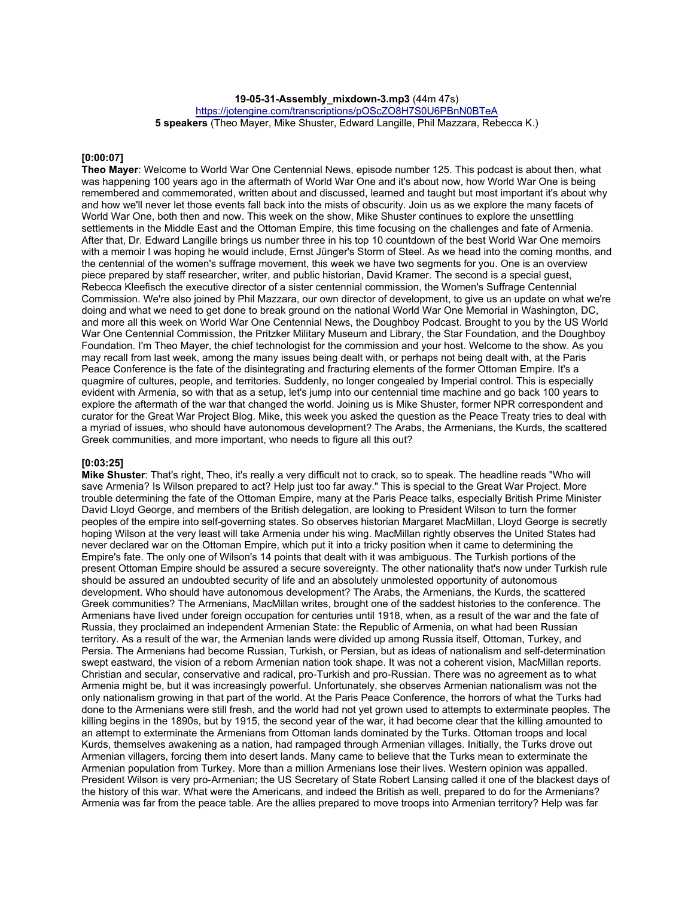**19-05-31-Assembly\_mixdown-3.mp3** (44m 47s)

https://jotengine.com/transcriptions/pOScZO8H7S0U6PBnN0BTeA

**5 speakers** (Theo Mayer, Mike Shuster, Edward Langille, Phil Mazzara, Rebecca K.)

#### **[0:00:07]**

**Theo Mayer**: Welcome to World War One Centennial News, episode number 125. This podcast is about then, what was happening 100 years ago in the aftermath of World War One and it's about now, how World War One is being remembered and commemorated, written about and discussed, learned and taught but most important it's about why and how we'll never let those events fall back into the mists of obscurity. Join us as we explore the many facets of World War One, both then and now. This week on the show, Mike Shuster continues to explore the unsettling settlements in the Middle East and the Ottoman Empire, this time focusing on the challenges and fate of Armenia. After that, Dr. Edward Langille brings us number three in his top 10 countdown of the best World War One memoirs with a memoir I was hoping he would include, Ernst Jünger's Storm of Steel. As we head into the coming months, and the centennial of the women's suffrage movement, this week we have two segments for you. One is an overview piece prepared by staff researcher, writer, and public historian, David Kramer. The second is a special guest, Rebecca Kleefisch the executive director of a sister centennial commission, the Women's Suffrage Centennial Commission. We're also joined by Phil Mazzara, our own director of development, to give us an update on what we're doing and what we need to get done to break ground on the national World War One Memorial in Washington, DC, and more all this week on World War One Centennial News, the Doughboy Podcast. Brought to you by the US World War One Centennial Commission, the Pritzker Military Museum and Library, the Star Foundation, and the Doughboy Foundation. I'm Theo Mayer, the chief technologist for the commission and your host. Welcome to the show. As you may recall from last week, among the many issues being dealt with, or perhaps not being dealt with, at the Paris Peace Conference is the fate of the disintegrating and fracturing elements of the former Ottoman Empire. It's a quagmire of cultures, people, and territories. Suddenly, no longer congealed by Imperial control. This is especially evident with Armenia, so with that as a setup, let's jump into our centennial time machine and go back 100 years to explore the aftermath of the war that changed the world. Joining us is Mike Shuster, former NPR correspondent and curator for the Great War Project Blog. Mike, this week you asked the question as the Peace Treaty tries to deal with a myriad of issues, who should have autonomous development? The Arabs, the Armenians, the Kurds, the scattered Greek communities, and more important, who needs to figure all this out?

#### **[0:03:25]**

**Mike Shuster**: That's right, Theo, it's really a very difficult not to crack, so to speak. The headline reads "Who will save Armenia? Is Wilson prepared to act? Help just too far away." This is special to the Great War Project. More trouble determining the fate of the Ottoman Empire, many at the Paris Peace talks, especially British Prime Minister David Lloyd George, and members of the British delegation, are looking to President Wilson to turn the former peoples of the empire into self-governing states. So observes historian Margaret MacMillan, Lloyd George is secretly hoping Wilson at the very least will take Armenia under his wing. MacMillan rightly observes the United States had never declared war on the Ottoman Empire, which put it into a tricky position when it came to determining the Empire's fate. The only one of Wilson's 14 points that dealt with it was ambiguous. The Turkish portions of the present Ottoman Empire should be assured a secure sovereignty. The other nationality that's now under Turkish rule should be assured an undoubted security of life and an absolutely unmolested opportunity of autonomous development. Who should have autonomous development? The Arabs, the Armenians, the Kurds, the scattered Greek communities? The Armenians, MacMillan writes, brought one of the saddest histories to the conference. The Armenians have lived under foreign occupation for centuries until 1918, when, as a result of the war and the fate of Russia, they proclaimed an independent Armenian State: the Republic of Armenia, on what had been Russian territory. As a result of the war, the Armenian lands were divided up among Russia itself, Ottoman, Turkey, and Persia. The Armenians had become Russian, Turkish, or Persian, but as ideas of nationalism and self-determination swept eastward, the vision of a reborn Armenian nation took shape. It was not a coherent vision, MacMillan reports. Christian and secular, conservative and radical, pro-Turkish and pro-Russian. There was no agreement as to what Armenia might be, but it was increasingly powerful. Unfortunately, she observes Armenian nationalism was not the only nationalism growing in that part of the world. At the Paris Peace Conference, the horrors of what the Turks had done to the Armenians were still fresh, and the world had not yet grown used to attempts to exterminate peoples. The killing begins in the 1890s, but by 1915, the second year of the war, it had become clear that the killing amounted to an attempt to exterminate the Armenians from Ottoman lands dominated by the Turks. Ottoman troops and local Kurds, themselves awakening as a nation, had rampaged through Armenian villages. Initially, the Turks drove out Armenian villagers, forcing them into desert lands. Many came to believe that the Turks mean to exterminate the Armenian population from Turkey. More than a million Armenians lose their lives. Western opinion was appalled. President Wilson is very pro-Armenian; the US Secretary of State Robert Lansing called it one of the blackest days of the history of this war. What were the Americans, and indeed the British as well, prepared to do for the Armenians? Armenia was far from the peace table. Are the allies prepared to move troops into Armenian territory? Help was far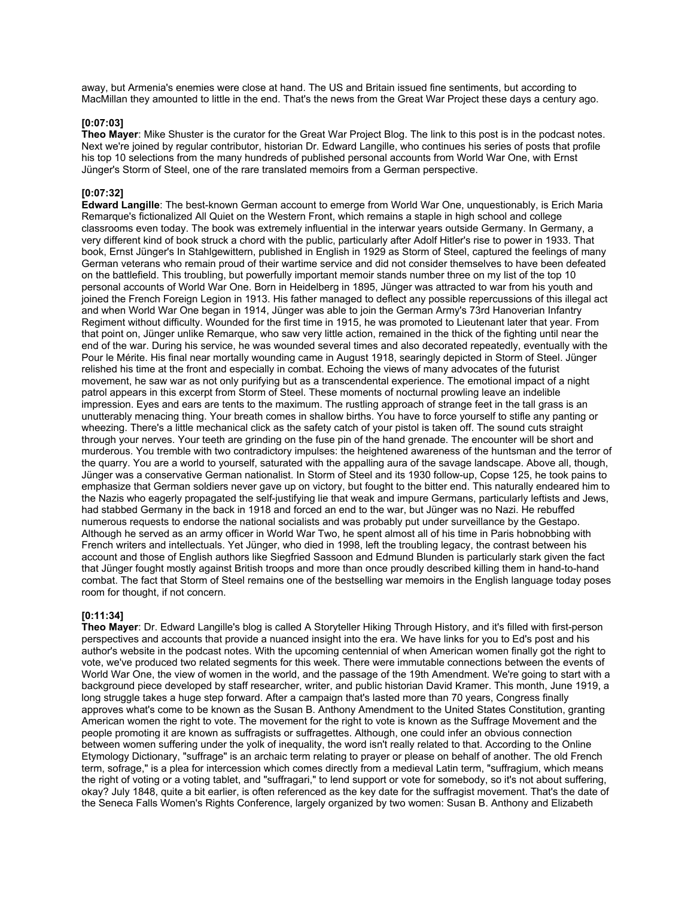away, but Armenia's enemies were close at hand. The US and Britain issued fine sentiments, but according to MacMillan they amounted to little in the end. That's the news from the Great War Project these days a century ago.

#### **[0:07:03]**

**Theo Mayer**: Mike Shuster is the curator for the Great War Project Blog. The link to this post is in the podcast notes. Next we're joined by regular contributor, historian Dr. Edward Langille, who continues his series of posts that profile his top 10 selections from the many hundreds of published personal accounts from World War One, with Ernst Jünger's Storm of Steel, one of the rare translated memoirs from a German perspective.

## **[0:07:32]**

**Edward Langille**: The best-known German account to emerge from World War One, unquestionably, is Erich Maria Remarque's fictionalized All Quiet on the Western Front, which remains a staple in high school and college classrooms even today. The book was extremely influential in the interwar years outside Germany. In Germany, a very different kind of book struck a chord with the public, particularly after Adolf Hitler's rise to power in 1933. That book, Ernst Jünger's In Stahlgewittern, published in English in 1929 as Storm of Steel, captured the feelings of many German veterans who remain proud of their wartime service and did not consider themselves to have been defeated on the battlefield. This troubling, but powerfully important memoir stands number three on my list of the top 10 personal accounts of World War One. Born in Heidelberg in 1895, Jünger was attracted to war from his youth and joined the French Foreign Legion in 1913. His father managed to deflect any possible repercussions of this illegal act and when World War One began in 1914, Jünger was able to join the German Army's 73rd Hanoverian Infantry Regiment without difficulty. Wounded for the first time in 1915, he was promoted to Lieutenant later that year. From that point on, Jünger unlike Remarque, who saw very little action, remained in the thick of the fighting until near the end of the war. During his service, he was wounded several times and also decorated repeatedly, eventually with the Pour le Mérite. His final near mortally wounding came in August 1918, searingly depicted in Storm of Steel. Jünger relished his time at the front and especially in combat. Echoing the views of many advocates of the futurist movement, he saw war as not only purifying but as a transcendental experience. The emotional impact of a night patrol appears in this excerpt from Storm of Steel. These moments of nocturnal prowling leave an indelible impression. Eyes and ears are tents to the maximum. The rustling approach of strange feet in the tall grass is an unutterably menacing thing. Your breath comes in shallow births. You have to force yourself to stifle any panting or wheezing. There's a little mechanical click as the safety catch of your pistol is taken off. The sound cuts straight through your nerves. Your teeth are grinding on the fuse pin of the hand grenade. The encounter will be short and murderous. You tremble with two contradictory impulses: the heightened awareness of the huntsman and the terror of the quarry. You are a world to yourself, saturated with the appalling aura of the savage landscape. Above all, though, Jünger was a conservative German nationalist. In Storm of Steel and its 1930 follow-up, Copse 125, he took pains to emphasize that German soldiers never gave up on victory, but fought to the bitter end. This naturally endeared him to the Nazis who eagerly propagated the self-justifying lie that weak and impure Germans, particularly leftists and Jews, had stabbed Germany in the back in 1918 and forced an end to the war, but Jünger was no Nazi. He rebuffed numerous requests to endorse the national socialists and was probably put under surveillance by the Gestapo. Although he served as an army officer in World War Two, he spent almost all of his time in Paris hobnobbing with French writers and intellectuals. Yet Jünger, who died in 1998, left the troubling legacy, the contrast between his account and those of English authors like Siegfried Sassoon and Edmund Blunden is particularly stark given the fact that Jünger fought mostly against British troops and more than once proudly described killing them in hand-to-hand combat. The fact that Storm of Steel remains one of the bestselling war memoirs in the English language today poses room for thought, if not concern.

#### **[0:11:34]**

**Theo Mayer**: Dr. Edward Langille's blog is called A Storyteller Hiking Through History, and it's filled with first-person perspectives and accounts that provide a nuanced insight into the era. We have links for you to Ed's post and his author's website in the podcast notes. With the upcoming centennial of when American women finally got the right to vote, we've produced two related segments for this week. There were immutable connections between the events of World War One, the view of women in the world, and the passage of the 19th Amendment. We're going to start with a background piece developed by staff researcher, writer, and public historian David Kramer. This month, June 1919, a long struggle takes a huge step forward. After a campaign that's lasted more than 70 years, Congress finally approves what's come to be known as the Susan B. Anthony Amendment to the United States Constitution, granting American women the right to vote. The movement for the right to vote is known as the Suffrage Movement and the people promoting it are known as suffragists or suffragettes. Although, one could infer an obvious connection between women suffering under the yolk of inequality, the word isn't really related to that. According to the Online Etymology Dictionary, "suffrage" is an archaic term relating to prayer or please on behalf of another. The old French term, sofrage," is a plea for intercession which comes directly from a medieval Latin term, "suffragium, which means the right of voting or a voting tablet, and "suffragari," to lend support or vote for somebody, so it's not about suffering, okay? July 1848, quite a bit earlier, is often referenced as the key date for the suffragist movement. That's the date of the Seneca Falls Women's Rights Conference, largely organized by two women: Susan B. Anthony and Elizabeth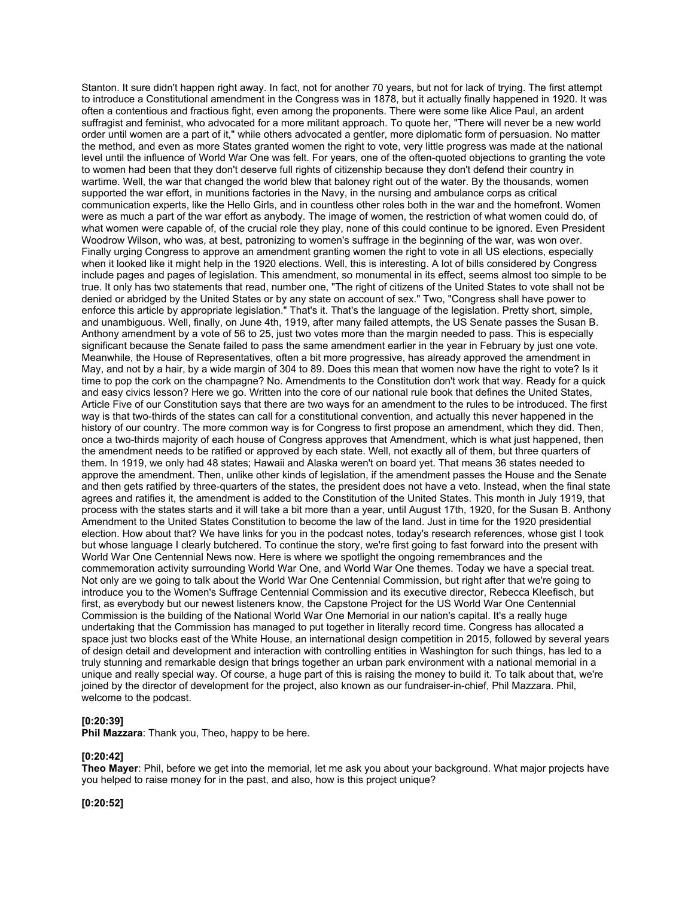Stanton. It sure didn't happen right away. In fact, not for another 70 years, but not for lack of trying. The first attempt to introduce a Constitutional amendment in the Congress was in 1878, but it actually finally happened in 1920. It was often a contentious and fractious fight, even among the proponents. There were some like Alice Paul, an ardent suffragist and feminist, who advocated for a more militant approach. To quote her, "There will never be a new world order until women are a part of it," while others advocated a gentler, more diplomatic form of persuasion. No matter the method, and even as more States granted women the right to vote, very little progress was made at the national level until the influence of World War One was felt. For years, one of the often-quoted objections to granting the vote to women had been that they don't deserve full rights of citizenship because they don't defend their country in wartime. Well, the war that changed the world blew that baloney right out of the water. By the thousands, women supported the war effort, in munitions factories in the Navy, in the nursing and ambulance corps as critical communication experts, like the Hello Girls, and in countless other roles both in the war and the homefront. Women were as much a part of the war effort as anybody. The image of women, the restriction of what women could do, of what women were capable of, of the crucial role they play, none of this could continue to be ignored. Even President Woodrow Wilson, who was, at best, patronizing to women's suffrage in the beginning of the war, was won over. Finally urging Congress to approve an amendment granting women the right to vote in all US elections, especially when it looked like it might help in the 1920 elections. Well, this is interesting. A lot of bills considered by Congress include pages and pages of legislation. This amendment, so monumental in its effect, seems almost too simple to be true. It only has two statements that read, number one, "The right of citizens of the United States to vote shall not be denied or abridged by the United States or by any state on account of sex." Two, "Congress shall have power to enforce this article by appropriate legislation." That's it. That's the language of the legislation. Pretty short, simple, and unambiguous. Well, finally, on June 4th, 1919, after many failed attempts, the US Senate passes the Susan B. Anthony amendment by a vote of 56 to 25, just two votes more than the margin needed to pass. This is especially significant because the Senate failed to pass the same amendment earlier in the year in February by just one vote. Meanwhile, the House of Representatives, often a bit more progressive, has already approved the amendment in May, and not by a hair, by a wide margin of 304 to 89. Does this mean that women now have the right to vote? Is it time to pop the cork on the champagne? No. Amendments to the Constitution don't work that way. Ready for a quick and easy civics lesson? Here we go. Written into the core of our national rule book that defines the United States, Article Five of our Constitution says that there are two ways for an amendment to the rules to be introduced. The first way is that two-thirds of the states can call for a constitutional convention, and actually this never happened in the history of our country. The more common way is for Congress to first propose an amendment, which they did. Then, once a two-thirds majority of each house of Congress approves that Amendment, which is what just happened, then the amendment needs to be ratified or approved by each state. Well, not exactly all of them, but three quarters of them. In 1919, we only had 48 states; Hawaii and Alaska weren't on board yet. That means 36 states needed to approve the amendment. Then, unlike other kinds of legislation, if the amendment passes the House and the Senate and then gets ratified by three-quarters of the states, the president does not have a veto. Instead, when the final state agrees and ratifies it, the amendment is added to the Constitution of the United States. This month in July 1919, that process with the states starts and it will take a bit more than a year, until August 17th, 1920, for the Susan B. Anthony Amendment to the United States Constitution to become the law of the land. Just in time for the 1920 presidential election. How about that? We have links for you in the podcast notes, today's research references, whose gist I took but whose language I clearly butchered. To continue the story, we're first going to fast forward into the present with World War One Centennial News now. Here is where we spotlight the ongoing remembrances and the commemoration activity surrounding World War One, and World War One themes. Today we have a special treat. Not only are we going to talk about the World War One Centennial Commission, but right after that we're going to introduce you to the Women's Suffrage Centennial Commission and its executive director, Rebecca Kleefisch, but first, as everybody but our newest listeners know, the Capstone Project for the US World War One Centennial Commission is the building of the National World War One Memorial in our nation's capital. It's a really huge undertaking that the Commission has managed to put together in literally record time. Congress has allocated a space just two blocks east of the White House, an international design competition in 2015, followed by several years of design detail and development and interaction with controlling entities in Washington for such things, has led to a truly stunning and remarkable design that brings together an urban park environment with a national memorial in a unique and really special way. Of course, a huge part of this is raising the money to build it. To talk about that, we're joined by the director of development for the project, also known as our fundraiser-in-chief, Phil Mazzara. Phil, welcome to the podcast.

### **[0:20:39]**

**Phil Mazzara**: Thank you, Theo, happy to be here.

#### **[0:20:42]**

**Theo Mayer**: Phil, before we get into the memorial, let me ask you about your background. What major projects have you helped to raise money for in the past, and also, how is this project unique?

**[0:20:52]**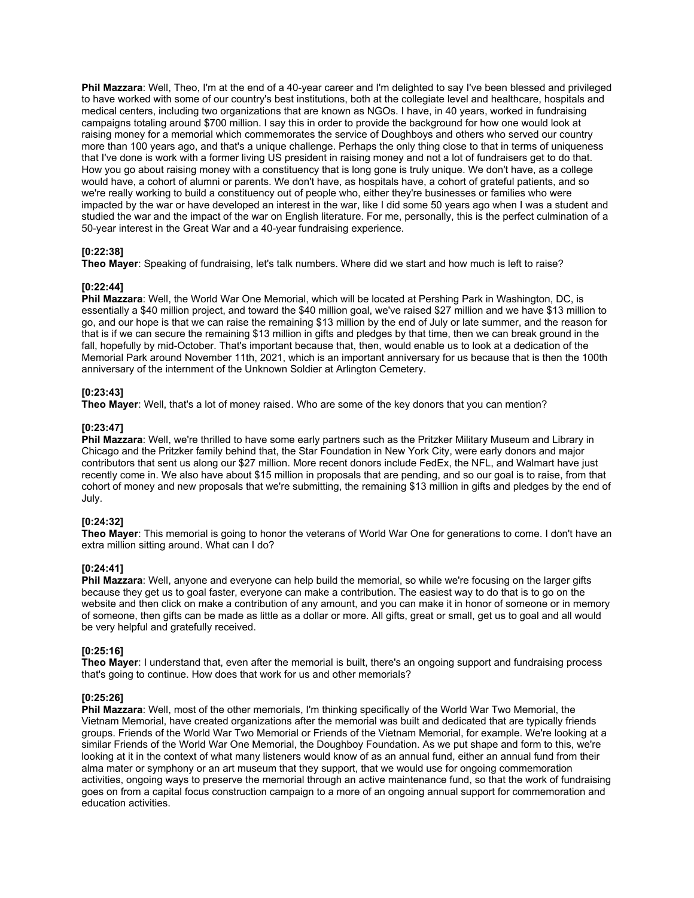**Phil Mazzara**: Well, Theo, I'm at the end of a 40-year career and I'm delighted to say I've been blessed and privileged to have worked with some of our country's best institutions, both at the collegiate level and healthcare, hospitals and medical centers, including two organizations that are known as NGOs. I have, in 40 years, worked in fundraising campaigns totaling around \$700 million. I say this in order to provide the background for how one would look at raising money for a memorial which commemorates the service of Doughboys and others who served our country more than 100 years ago, and that's a unique challenge. Perhaps the only thing close to that in terms of uniqueness that I've done is work with a former living US president in raising money and not a lot of fundraisers get to do that. How you go about raising money with a constituency that is long gone is truly unique. We don't have, as a college would have, a cohort of alumni or parents. We don't have, as hospitals have, a cohort of grateful patients, and so we're really working to build a constituency out of people who, either they're businesses or families who were impacted by the war or have developed an interest in the war, like I did some 50 years ago when I was a student and studied the war and the impact of the war on English literature. For me, personally, this is the perfect culmination of a 50-year interest in the Great War and a 40-year fundraising experience.

### **[0:22:38]**

**Theo Mayer**: Speaking of fundraising, let's talk numbers. Where did we start and how much is left to raise?

### **[0:22:44]**

**Phil Mazzara**: Well, the World War One Memorial, which will be located at Pershing Park in Washington, DC, is essentially a \$40 million project, and toward the \$40 million goal, we've raised \$27 million and we have \$13 million to go, and our hope is that we can raise the remaining \$13 million by the end of July or late summer, and the reason for that is if we can secure the remaining \$13 million in gifts and pledges by that time, then we can break ground in the fall, hopefully by mid-October. That's important because that, then, would enable us to look at a dedication of the Memorial Park around November 11th, 2021, which is an important anniversary for us because that is then the 100th anniversary of the internment of the Unknown Soldier at Arlington Cemetery.

## **[0:23:43]**

**Theo Mayer**: Well, that's a lot of money raised. Who are some of the key donors that you can mention?

### **[0:23:47]**

**Phil Mazzara**: Well, we're thrilled to have some early partners such as the Pritzker Military Museum and Library in Chicago and the Pritzker family behind that, the Star Foundation in New York City, were early donors and major contributors that sent us along our \$27 million. More recent donors include FedEx, the NFL, and Walmart have just recently come in. We also have about \$15 million in proposals that are pending, and so our goal is to raise, from that cohort of money and new proposals that we're submitting, the remaining \$13 million in gifts and pledges by the end of July.

### **[0:24:32]**

**Theo Mayer**: This memorial is going to honor the veterans of World War One for generations to come. I don't have an extra million sitting around. What can I do?

### **[0:24:41]**

**Phil Mazzara**: Well, anyone and everyone can help build the memorial, so while we're focusing on the larger gifts because they get us to goal faster, everyone can make a contribution. The easiest way to do that is to go on the website and then click on make a contribution of any amount, and you can make it in honor of someone or in memory of someone, then gifts can be made as little as a dollar or more. All gifts, great or small, get us to goal and all would be very helpful and gratefully received.

### **[0:25:16]**

**Theo Mayer**: I understand that, even after the memorial is built, there's an ongoing support and fundraising process that's going to continue. How does that work for us and other memorials?

### **[0:25:26]**

**Phil Mazzara**: Well, most of the other memorials, I'm thinking specifically of the World War Two Memorial, the Vietnam Memorial, have created organizations after the memorial was built and dedicated that are typically friends groups. Friends of the World War Two Memorial or Friends of the Vietnam Memorial, for example. We're looking at a similar Friends of the World War One Memorial, the Doughboy Foundation. As we put shape and form to this, we're looking at it in the context of what many listeners would know of as an annual fund, either an annual fund from their alma mater or symphony or an art museum that they support, that we would use for ongoing commemoration activities, ongoing ways to preserve the memorial through an active maintenance fund, so that the work of fundraising goes on from a capital focus construction campaign to a more of an ongoing annual support for commemoration and education activities.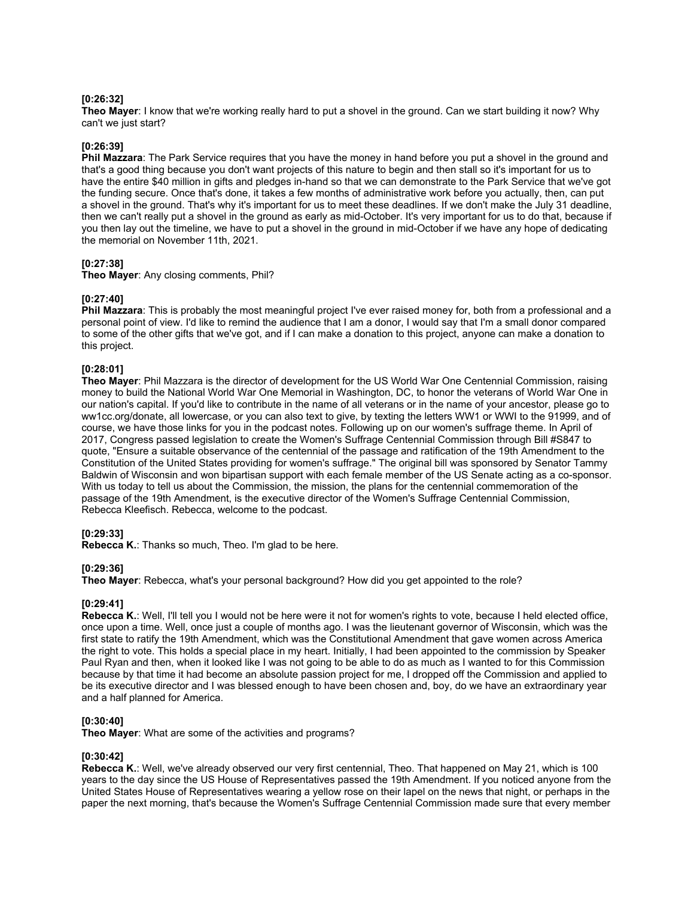## **[0:26:32]**

**Theo Mayer**: I know that we're working really hard to put a shovel in the ground. Can we start building it now? Why can't we just start?

## **[0:26:39]**

**Phil Mazzara**: The Park Service requires that you have the money in hand before you put a shovel in the ground and that's a good thing because you don't want projects of this nature to begin and then stall so it's important for us to have the entire \$40 million in gifts and pledges in-hand so that we can demonstrate to the Park Service that we've got the funding secure. Once that's done, it takes a few months of administrative work before you actually, then, can put a shovel in the ground. That's why it's important for us to meet these deadlines. If we don't make the July 31 deadline, then we can't really put a shovel in the ground as early as mid-October. It's very important for us to do that, because if you then lay out the timeline, we have to put a shovel in the ground in mid-October if we have any hope of dedicating the memorial on November 11th, 2021.

## **[0:27:38]**

**Theo Mayer**: Any closing comments, Phil?

## **[0:27:40]**

**Phil Mazzara**: This is probably the most meaningful project I've ever raised money for, both from a professional and a personal point of view. I'd like to remind the audience that I am a donor, I would say that I'm a small donor compared to some of the other gifts that we've got, and if I can make a donation to this project, anyone can make a donation to this project.

### **[0:28:01]**

**Theo Mayer**: Phil Mazzara is the director of development for the US World War One Centennial Commission, raising money to build the National World War One Memorial in Washington, DC, to honor the veterans of World War One in our nation's capital. If you'd like to contribute in the name of all veterans or in the name of your ancestor, please go to ww1cc.org/donate, all lowercase, or you can also text to give, by texting the letters WW1 or WWI to the 91999, and of course, we have those links for you in the podcast notes. Following up on our women's suffrage theme. In April of 2017, Congress passed legislation to create the Women's Suffrage Centennial Commission through Bill #S847 to quote, "Ensure a suitable observance of the centennial of the passage and ratification of the 19th Amendment to the Constitution of the United States providing for women's suffrage." The original bill was sponsored by Senator Tammy Baldwin of Wisconsin and won bipartisan support with each female member of the US Senate acting as a co-sponsor. With us today to tell us about the Commission, the mission, the plans for the centennial commemoration of the passage of the 19th Amendment, is the executive director of the Women's Suffrage Centennial Commission, Rebecca Kleefisch. Rebecca, welcome to the podcast.

### **[0:29:33]**

**Rebecca K.: Thanks so much. Theo. I'm glad to be here.** 

## **[0:29:36]**

**Theo Mayer**: Rebecca, what's your personal background? How did you get appointed to the role?

### **[0:29:41]**

**Rebecca K.**: Well, I'll tell you I would not be here were it not for women's rights to vote, because I held elected office, once upon a time. Well, once just a couple of months ago. I was the lieutenant governor of Wisconsin, which was the first state to ratify the 19th Amendment, which was the Constitutional Amendment that gave women across America the right to vote. This holds a special place in my heart. Initially, I had been appointed to the commission by Speaker Paul Ryan and then, when it looked like I was not going to be able to do as much as I wanted to for this Commission because by that time it had become an absolute passion project for me, I dropped off the Commission and applied to be its executive director and I was blessed enough to have been chosen and, boy, do we have an extraordinary year and a half planned for America.

### **[0:30:40]**

**Theo Mayer**: What are some of the activities and programs?

### **[0:30:42]**

**Rebecca K.**: Well, we've already observed our very first centennial, Theo. That happened on May 21, which is 100 years to the day since the US House of Representatives passed the 19th Amendment. If you noticed anyone from the United States House of Representatives wearing a yellow rose on their lapel on the news that night, or perhaps in the paper the next morning, that's because the Women's Suffrage Centennial Commission made sure that every member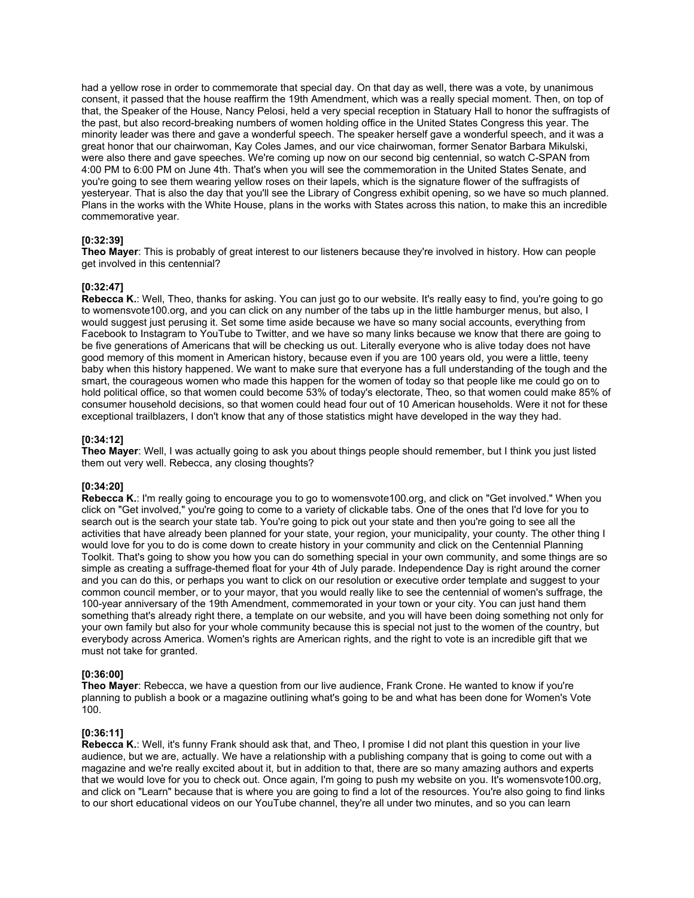had a yellow rose in order to commemorate that special day. On that day as well, there was a vote, by unanimous consent, it passed that the house reaffirm the 19th Amendment, which was a really special moment. Then, on top of that, the Speaker of the House, Nancy Pelosi, held a very special reception in Statuary Hall to honor the suffragists of the past, but also record-breaking numbers of women holding office in the United States Congress this year. The minority leader was there and gave a wonderful speech. The speaker herself gave a wonderful speech, and it was a great honor that our chairwoman, Kay Coles James, and our vice chairwoman, former Senator Barbara Mikulski, were also there and gave speeches. We're coming up now on our second big centennial, so watch C-SPAN from 4:00 PM to 6:00 PM on June 4th. That's when you will see the commemoration in the United States Senate, and you're going to see them wearing yellow roses on their lapels, which is the signature flower of the suffragists of yesteryear. That is also the day that you'll see the Library of Congress exhibit opening, so we have so much planned. Plans in the works with the White House, plans in the works with States across this nation, to make this an incredible commemorative year.

### **[0:32:39]**

**Theo Mayer**: This is probably of great interest to our listeners because they're involved in history. How can people get involved in this centennial?

## **[0:32:47]**

**Rebecca K.**: Well, Theo, thanks for asking. You can just go to our website. It's really easy to find, you're going to go to womensvote100.org, and you can click on any number of the tabs up in the little hamburger menus, but also, I would suggest just perusing it. Set some time aside because we have so many social accounts, everything from Facebook to Instagram to YouTube to Twitter, and we have so many links because we know that there are going to be five generations of Americans that will be checking us out. Literally everyone who is alive today does not have good memory of this moment in American history, because even if you are 100 years old, you were a little, teeny baby when this history happened. We want to make sure that everyone has a full understanding of the tough and the smart, the courageous women who made this happen for the women of today so that people like me could go on to hold political office, so that women could become 53% of today's electorate, Theo, so that women could make 85% of consumer household decisions, so that women could head four out of 10 American households. Were it not for these exceptional trailblazers, I don't know that any of those statistics might have developed in the way they had.

## **[0:34:12]**

**Theo Mayer**: Well, I was actually going to ask you about things people should remember, but I think you just listed them out very well. Rebecca, any closing thoughts?

# **[0:34:20]**

**Rebecca K.**: I'm really going to encourage you to go to womensvote100.org, and click on "Get involved." When you click on "Get involved," you're going to come to a variety of clickable tabs. One of the ones that I'd love for you to search out is the search your state tab. You're going to pick out your state and then you're going to see all the activities that have already been planned for your state, your region, your municipality, your county. The other thing I would love for you to do is come down to create history in your community and click on the Centennial Planning Toolkit. That's going to show you how you can do something special in your own community, and some things are so simple as creating a suffrage-themed float for your 4th of July parade. Independence Day is right around the corner and you can do this, or perhaps you want to click on our resolution or executive order template and suggest to your common council member, or to your mayor, that you would really like to see the centennial of women's suffrage, the 100-year anniversary of the 19th Amendment, commemorated in your town or your city. You can just hand them something that's already right there, a template on our website, and you will have been doing something not only for your own family but also for your whole community because this is special not just to the women of the country, but everybody across America. Women's rights are American rights, and the right to vote is an incredible gift that we must not take for granted.

## **[0:36:00]**

**Theo Mayer**: Rebecca, we have a question from our live audience, Frank Crone. He wanted to know if you're planning to publish a book or a magazine outlining what's going to be and what has been done for Women's Vote 100.

### **[0:36:11]**

**Rebecca K.**: Well, it's funny Frank should ask that, and Theo, I promise I did not plant this question in your live audience, but we are, actually. We have a relationship with a publishing company that is going to come out with a magazine and we're really excited about it, but in addition to that, there are so many amazing authors and experts that we would love for you to check out. Once again, I'm going to push my website on you. It's womensvote100.org, and click on "Learn" because that is where you are going to find a lot of the resources. You're also going to find links to our short educational videos on our YouTube channel, they're all under two minutes, and so you can learn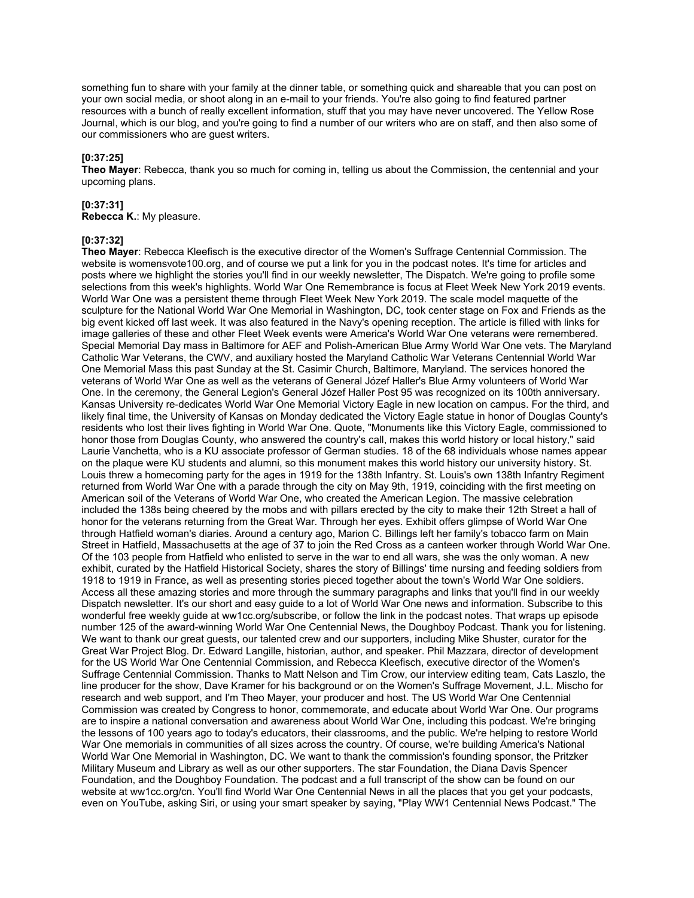something fun to share with your family at the dinner table, or something quick and shareable that you can post on your own social media, or shoot along in an e-mail to your friends. You're also going to find featured partner resources with a bunch of really excellent information, stuff that you may have never uncovered. The Yellow Rose Journal, which is our blog, and you're going to find a number of our writers who are on staff, and then also some of our commissioners who are guest writers.

### **[0:37:25]**

**Theo Mayer**: Rebecca, thank you so much for coming in, telling us about the Commission, the centennial and your upcoming plans.

### **[0:37:31]**

**Rebecca K.**: My pleasure.

### **[0:37:32]**

**Theo Mayer**: Rebecca Kleefisch is the executive director of the Women's Suffrage Centennial Commission. The website is womensvote100.org, and of course we put a link for you in the podcast notes. It's time for articles and posts where we highlight the stories you'll find in our weekly newsletter, The Dispatch. We're going to profile some selections from this week's highlights. World War One Remembrance is focus at Fleet Week New York 2019 events. World War One was a persistent theme through Fleet Week New York 2019. The scale model maquette of the sculpture for the National World War One Memorial in Washington, DC, took center stage on Fox and Friends as the big event kicked off last week. It was also featured in the Navy's opening reception. The article is filled with links for image galleries of these and other Fleet Week events were America's World War One veterans were remembered. Special Memorial Day mass in Baltimore for AEF and Polish-American Blue Army World War One vets. The Maryland Catholic War Veterans, the CWV, and auxiliary hosted the Maryland Catholic War Veterans Centennial World War One Memorial Mass this past Sunday at the St. Casimir Church, Baltimore, Maryland. The services honored the veterans of World War One as well as the veterans of General Józef Haller's Blue Army volunteers of World War One. In the ceremony, the General Legion's General Józef Haller Post 95 was recognized on its 100th anniversary. Kansas University re-dedicates World War One Memorial Victory Eagle in new location on campus. For the third, and likely final time, the University of Kansas on Monday dedicated the Victory Eagle statue in honor of Douglas County's residents who lost their lives fighting in World War One. Quote, "Monuments like this Victory Eagle, commissioned to honor those from Douglas County, who answered the country's call, makes this world history or local history," said Laurie Vanchetta, who is a KU associate professor of German studies. 18 of the 68 individuals whose names appear on the plaque were KU students and alumni, so this monument makes this world history our university history. St. Louis threw a homecoming party for the ages in 1919 for the 138th Infantry. St. Louis's own 138th Infantry Regiment returned from World War One with a parade through the city on May 9th, 1919, coinciding with the first meeting on American soil of the Veterans of World War One, who created the American Legion. The massive celebration included the 138s being cheered by the mobs and with pillars erected by the city to make their 12th Street a hall of honor for the veterans returning from the Great War. Through her eyes. Exhibit offers glimpse of World War One through Hatfield woman's diaries. Around a century ago, Marion C. Billings left her family's tobacco farm on Main Street in Hatfield, Massachusetts at the age of 37 to join the Red Cross as a canteen worker through World War One. Of the 103 people from Hatfield who enlisted to serve in the war to end all wars, she was the only woman. A new exhibit, curated by the Hatfield Historical Society, shares the story of Billings' time nursing and feeding soldiers from 1918 to 1919 in France, as well as presenting stories pieced together about the town's World War One soldiers. Access all these amazing stories and more through the summary paragraphs and links that you'll find in our weekly Dispatch newsletter. It's our short and easy guide to a lot of World War One news and information. Subscribe to this wonderful free weekly guide at ww1cc.org/subscribe, or follow the link in the podcast notes. That wraps up episode number 125 of the award-winning World War One Centennial News, the Doughboy Podcast. Thank you for listening. We want to thank our great guests, our talented crew and our supporters, including Mike Shuster, curator for the Great War Project Blog. Dr. Edward Langille, historian, author, and speaker. Phil Mazzara, director of development for the US World War One Centennial Commission, and Rebecca Kleefisch, executive director of the Women's Suffrage Centennial Commission. Thanks to Matt Nelson and Tim Crow, our interview editing team, Cats Laszlo, the line producer for the show, Dave Kramer for his background or on the Women's Suffrage Movement, J.L. Mischo for research and web support, and I'm Theo Mayer, your producer and host. The US World War One Centennial Commission was created by Congress to honor, commemorate, and educate about World War One. Our programs are to inspire a national conversation and awareness about World War One, including this podcast. We're bringing the lessons of 100 years ago to today's educators, their classrooms, and the public. We're helping to restore World War One memorials in communities of all sizes across the country. Of course, we're building America's National World War One Memorial in Washington, DC. We want to thank the commission's founding sponsor, the Pritzker Military Museum and Library as well as our other supporters. The star Foundation, the Diana Davis Spencer Foundation, and the Doughboy Foundation. The podcast and a full transcript of the show can be found on our website at ww1cc.org/cn. You'll find World War One Centennial News in all the places that you get your podcasts, even on YouTube, asking Siri, or using your smart speaker by saying, "Play WW1 Centennial News Podcast." The